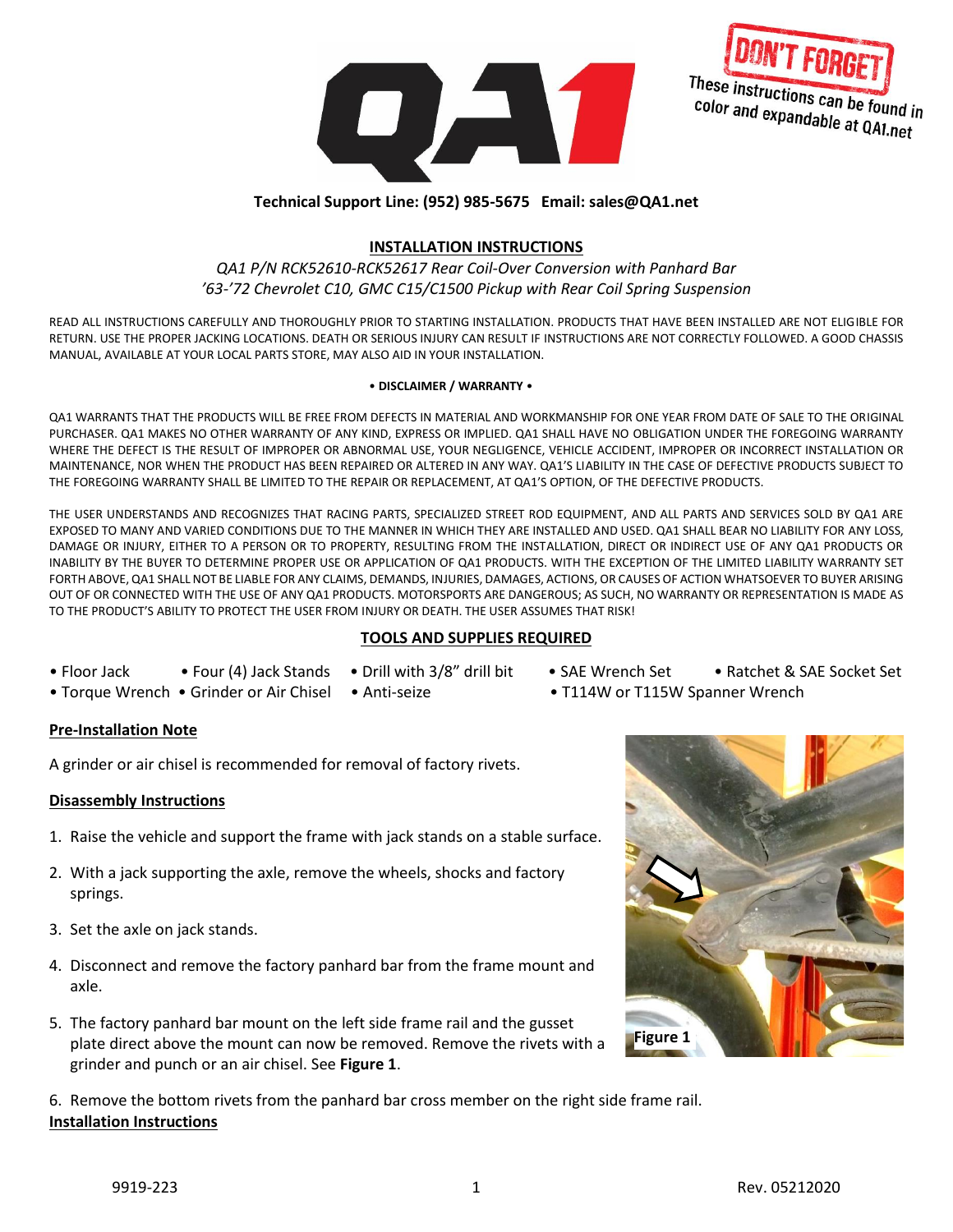



# **Technical Support Line: (952) 985-5675 Email: sales@QA1.net**

## **INSTALLATION INSTRUCTIONS**

# *QA1 P/N RCK52610-RCK52617 Rear Coil-Over Conversion with Panhard Bar '63-'72 Chevrolet C10, GMC C15/C1500 Pickup with Rear Coil Spring Suspension*

READ ALL INSTRUCTIONS CAREFULLY AND THOROUGHLY PRIOR TO STARTING INSTALLATION. PRODUCTS THAT HAVE BEEN INSTALLED ARE NOT ELIGIBLE FOR RETURN. USE THE PROPER JACKING LOCATIONS. DEATH OR SERIOUS INJURY CAN RESULT IF INSTRUCTIONS ARE NOT CORRECTLY FOLLOWED. A GOOD CHASSIS MANUAL, AVAILABLE AT YOUR LOCAL PARTS STORE, MAY ALSO AID IN YOUR INSTALLATION.

#### • **DISCLAIMER / WARRANTY** •

QA1 WARRANTS THAT THE PRODUCTS WILL BE FREE FROM DEFECTS IN MATERIAL AND WORKMANSHIP FOR ONE YEAR FROM DATE OF SALE TO THE ORIGINAL PURCHASER. QA1 MAKES NO OTHER WARRANTY OF ANY KIND, EXPRESS OR IMPLIED. QA1 SHALL HAVE NO OBLIGATION UNDER THE FOREGOING WARRANTY WHERE THE DEFECT IS THE RESULT OF IMPROPER OR ABNORMAL USE, YOUR NEGLIGENCE, VEHICLE ACCIDENT, IMPROPER OR INCORRECT INSTALLATION OR MAINTENANCE, NOR WHEN THE PRODUCT HAS BEEN REPAIRED OR ALTERED IN ANY WAY. QA1'S LIABILITY IN THE CASE OF DEFECTIVE PRODUCTS SUBJECT TO THE FOREGOING WARRANTY SHALL BE LIMITED TO THE REPAIR OR REPLACEMENT, AT QA1'S OPTION, OF THE DEFECTIVE PRODUCTS.

THE USER UNDERSTANDS AND RECOGNIZES THAT RACING PARTS, SPECIALIZED STREET ROD EQUIPMENT, AND ALL PARTS AND SERVICES SOLD BY QA1 ARE EXPOSED TO MANY AND VARIED CONDITIONS DUE TO THE MANNER IN WHICH THEY ARE INSTALLED AND USED. QA1 SHALL BEAR NO LIABILITY FOR ANY LOSS, DAMAGE OR INJURY, EITHER TO A PERSON OR TO PROPERTY, RESULTING FROM THE INSTALLATION, DIRECT OR INDIRECT USE OF ANY QA1 PRODUCTS OR INABILITY BY THE BUYER TO DETERMINE PROPER USE OR APPLICATION OF QA1 PRODUCTS. WITH THE EXCEPTION OF THE LIMITED LIABILITY WARRANTY SET FORTH ABOVE, QA1 SHALL NOT BE LIABLE FOR ANY CLAIMS, DEMANDS, INJURIES, DAMAGES, ACTIONS, OR CAUSES OF ACTION WHATSOEVER TO BUYER ARISING OUT OF OR CONNECTED WITH THE USE OF ANY QA1 PRODUCTS. MOTORSPORTS ARE DANGEROUS; AS SUCH, NO WARRANTY OR REPRESENTATION IS MADE AS TO THE PRODUCT'S ABILITY TO PROTECT THE USER FROM INJURY OR DEATH. THE USER ASSUMES THAT RISK!

## **TOOLS AND SUPPLIES REQUIRED**

- -
- 
- Floor Jack Four (4) Jack Stands Drill with 3/8" drill bit SAE Wrench Set Ratchet & SAE Socket Set
- Torque Wrench Grinder or Air Chisel Anti-seize T114W or T115W Spanner Wrench

## **Pre-Installation Note**

A grinder or air chisel is recommended for removal of factory rivets.

## **Disassembly Instructions**

- 1. Raise the vehicle and support the frame with jack stands on a stable surface.
- 2. With a jack supporting the axle, remove the wheels, shocks and factory springs.
- 3. Set the axle on jack stands.
- 4. Disconnect and remove the factory panhard bar from the frame mount and axle.
- 5. The factory panhard bar mount on the left side frame rail and the gusset plate direct above the mount can now be removed. Remove the rivets with a grinder and punch or an air chisel. See **Figure 1**.

6. Remove the bottom rivets from the panhard bar cross member on the right side frame rail. **Installation Instructions**

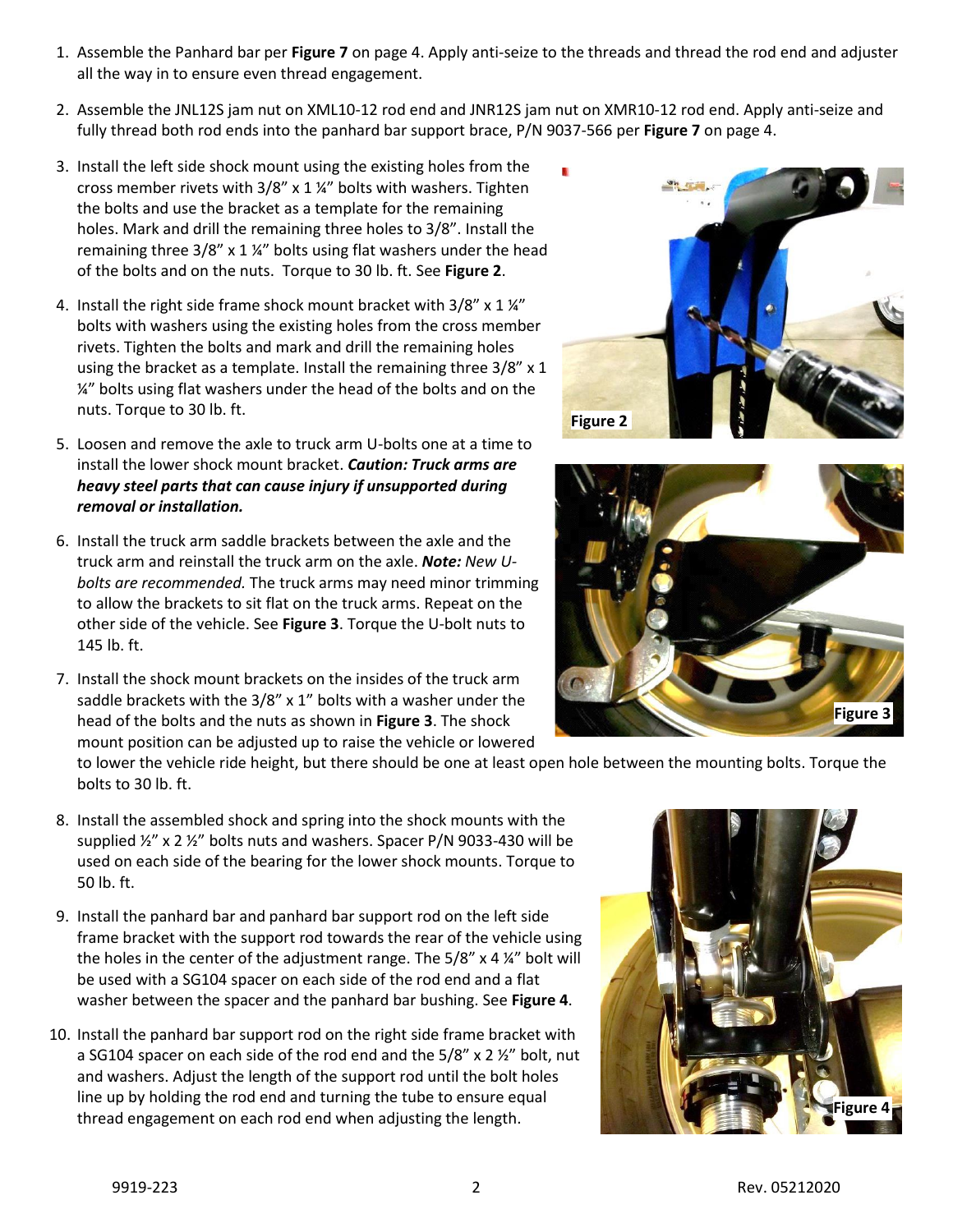- 1. Assemble the Panhard bar per **Figure 7** on page 4. Apply anti-seize to the threads and thread the rod end and adjuster all the way in to ensure even thread engagement.
- 2. Assemble the JNL12S jam nut on XML10-12 rod end and JNR12S jam nut on XMR10-12 rod end. Apply anti-seize and fully thread both rod ends into the panhard bar support brace, P/N 9037-566 per **Figure 7** on page 4.
- 3. Install the left side shock mount using the existing holes from the cross member rivets with 3/8" x 1 ¼" bolts with washers. Tighten the bolts and use the bracket as a template for the remaining holes. Mark and drill the remaining three holes to 3/8". Install the remaining three 3/8" x 1 ¼" bolts using flat washers under the head of the bolts and on the nuts. Torque to 30 lb. ft. See **Figure 2**.
- 4. Install the right side frame shock mount bracket with  $3/8''$  x  $1\frac{1}{4}''$ bolts with washers using the existing holes from the cross member rivets. Tighten the bolts and mark and drill the remaining holes using the bracket as a template. Install the remaining three 3/8" x 1  $\frac{1}{4}$ " bolts using flat washers under the head of the bolts and on the nuts. Torque to 30 lb. ft.
- 5. Loosen and remove the axle to truck arm U-bolts one at a time to install the lower shock mount bracket. *Caution: Truck arms are heavy steel parts that can cause injury if unsupported during removal or installation.*
- 6. Install the truck arm saddle brackets between the axle and the truck arm and reinstall the truck arm on the axle. *Note: New Ubolts are recommended.* The truck arms may need minor trimming to allow the brackets to sit flat on the truck arms. Repeat on the other side of the vehicle. See **Figure 3**. Torque the U-bolt nuts to 145 lb. ft.
- 7. Install the shock mount brackets on the insides of the truck arm saddle brackets with the 3/8" x 1" bolts with a washer under the head of the bolts and the nuts as shown in **Figure 3**. The shock mount position can be adjusted up to raise the vehicle or lowered

to lower the vehicle ride height, but there should be one at least open hole between the mounting bolts. Torque the bolts to 30 lb. ft.

- 8. Install the assembled shock and spring into the shock mounts with the supplied ½" x 2 ½" bolts nuts and washers. Spacer P/N 9033-430 will be used on each side of the bearing for the lower shock mounts. Torque to 50 lb. ft.
- 9. Install the panhard bar and panhard bar support rod on the left side frame bracket with the support rod towards the rear of the vehicle using the holes in the center of the adjustment range. The 5/8" x 4 ¼" bolt will be used with a SG104 spacer on each side of the rod end and a flat washer between the spacer and the panhard bar bushing. See **Figure 4**.
- 10. Install the panhard bar support rod on the right side frame bracket with a SG104 spacer on each side of the rod end and the  $5/8$ " x 2  $\frac{1}{2}$ " bolt, nut and washers. Adjust the length of the support rod until the bolt holes line up by holding the rod end and turning the tube to ensure equal thread engagement on each rod end when adjusting the length.





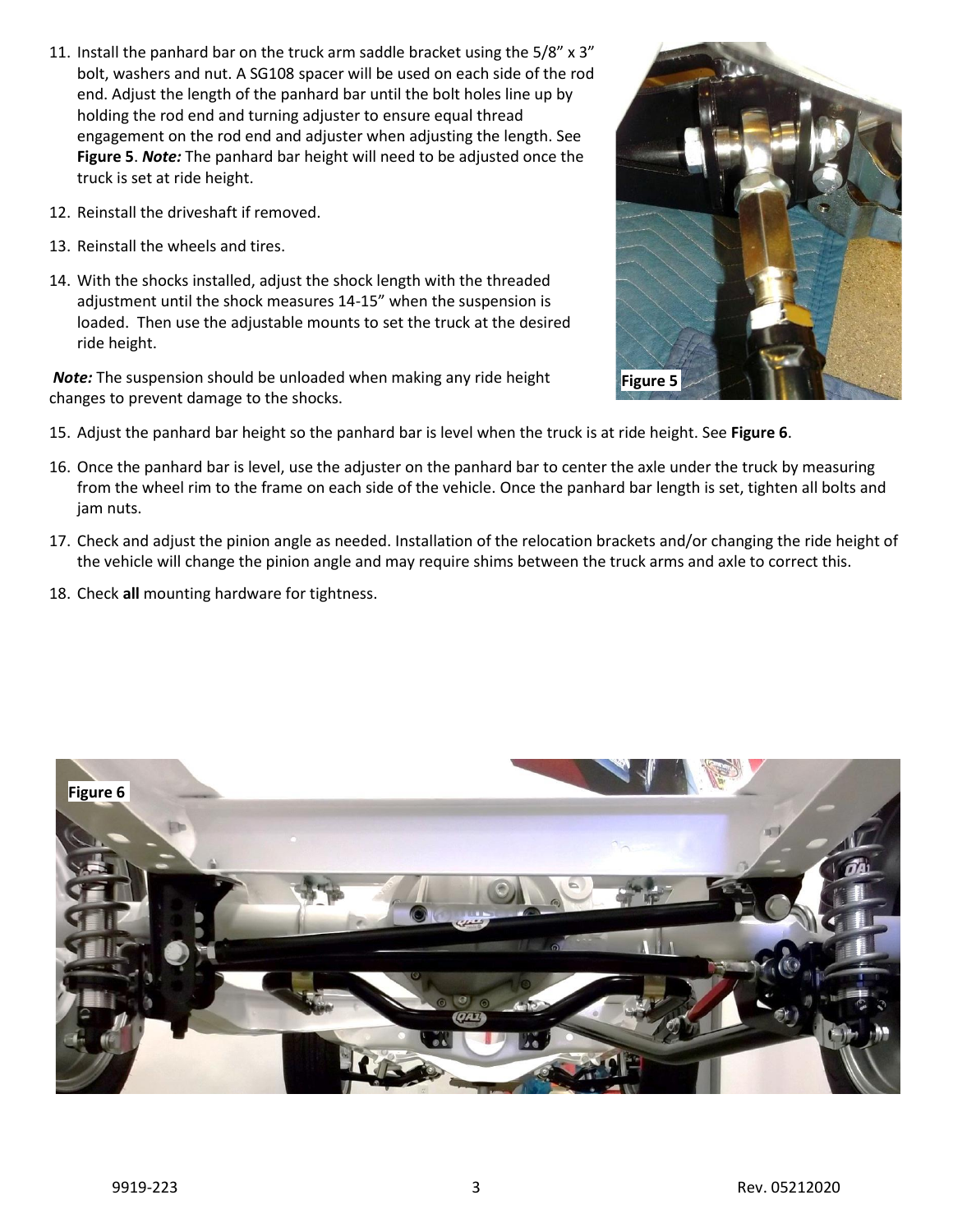- 11. Install the panhard bar on the truck arm saddle bracket using the 5/8" x 3" bolt, washers and nut. A SG108 spacer will be used on each side of the rod end. Adjust the length of the panhard bar until the bolt holes line up by holding the rod end and turning adjuster to ensure equal thread engagement on the rod end and adjuster when adjusting the length. See **Figure 5**. *Note:* The panhard bar height will need to be adjusted once the truck is set at ride height.
- 12. Reinstall the driveshaft if removed.
- 13. Reinstall the wheels and tires.
- 14. With the shocks installed, adjust the shock length with the threaded adjustment until the shock measures 14-15" when the suspension is loaded. Then use the adjustable mounts to set the truck at the desired ride height.

*Note:* The suspension should be unloaded when making any ride height changes to prevent damage to the shocks.



- 15. Adjust the panhard bar height so the panhard bar is level when the truck is at ride height. See **Figure 6**.
- 16. Once the panhard bar is level, use the adjuster on the panhard bar to center the axle under the truck by measuring from the wheel rim to the frame on each side of the vehicle. Once the panhard bar length is set, tighten all bolts and jam nuts.
- 17. Check and adjust the pinion angle as needed. Installation of the relocation brackets and/or changing the ride height of the vehicle will change the pinion angle and may require shims between the truck arms and axle to correct this.
- 18. Check **all** mounting hardware for tightness.